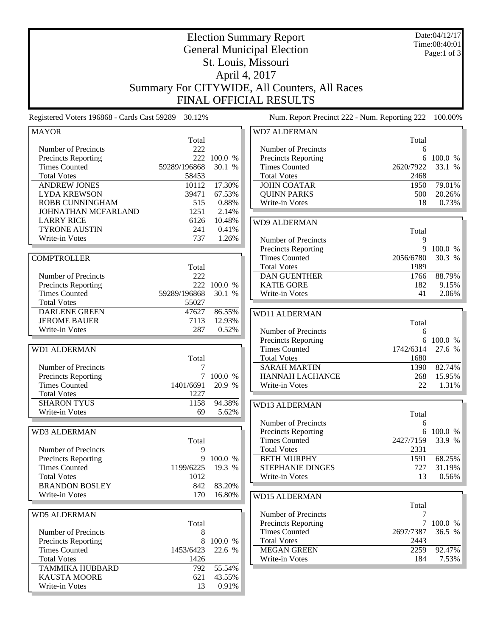| <b>Election Summary Report</b><br><b>General Municipal Election</b> |              |             |                                                                                |            | Date:04/12/17<br>Time:08:40:01 |  |
|---------------------------------------------------------------------|--------------|-------------|--------------------------------------------------------------------------------|------------|--------------------------------|--|
|                                                                     |              |             |                                                                                |            | Page:1 of 3                    |  |
|                                                                     |              |             | St. Louis, Missouri                                                            |            |                                |  |
|                                                                     |              |             | April 4, 2017                                                                  |            |                                |  |
|                                                                     |              |             |                                                                                |            |                                |  |
|                                                                     |              |             | Summary For CITYWIDE, All Counters, All Races<br><b>FINAL OFFICIAL RESULTS</b> |            |                                |  |
|                                                                     |              |             |                                                                                |            |                                |  |
| Registered Voters 196868 - Cards Cast 59289                         | 30.12%       |             | Num. Report Precinct 222 - Num. Reporting 222                                  |            | 100.00%                        |  |
| <b>MAYOR</b>                                                        |              |             | <b>WD7 ALDERMAN</b>                                                            |            |                                |  |
| Number of Precincts                                                 | Total<br>222 |             | Number of Precincts                                                            | Total<br>6 |                                |  |
| <b>Precincts Reporting</b>                                          |              | 222 100.0 % | <b>Precincts Reporting</b>                                                     | 6          | 100.0 %                        |  |
| <b>Times Counted</b>                                                | 59289/196868 | 30.1 %      | <b>Times Counted</b>                                                           | 2620/7922  | 33.1 %                         |  |
| <b>Total Votes</b>                                                  | 58453        |             | <b>Total Votes</b>                                                             | 2468       |                                |  |
| <b>ANDREW JONES</b>                                                 | 10112        | 17.30%      | <b>JOHN COATAR</b>                                                             | 1950       | 79.01%                         |  |
| <b>LYDA KREWSON</b>                                                 | 39471        | 67.53%      | <b>QUINN PARKS</b>                                                             | 500        | 20.26%                         |  |
| <b>ROBB CUNNINGHAM</b>                                              | 515          | 0.88%       | Write-in Votes                                                                 | 18         | 0.73%                          |  |
| JOHNATHAN MCFARLAND                                                 | 1251         | 2.14%       |                                                                                |            |                                |  |
| <b>LARRY RICE</b>                                                   | 6126         | 10.48%      | <b>WD9 ALDERMAN</b>                                                            |            |                                |  |
| <b>TYRONE AUSTIN</b>                                                | 241          | 0.41%       |                                                                                | Total      |                                |  |
| Write-in Votes                                                      | 737          | 1.26%       | Number of Precincts                                                            | 9          |                                |  |
|                                                                     |              |             | <b>Precincts Reporting</b>                                                     | 9          | 100.0 %                        |  |
| <b>COMPTROLLER</b>                                                  |              |             | <b>Times Counted</b>                                                           | 2056/6780  | 30.3 %                         |  |
|                                                                     | Total        |             | <b>Total Votes</b>                                                             | 1989       |                                |  |
| Number of Precincts                                                 | 222          |             | <b>DAN GUENTHER</b>                                                            | 1766       | 88.79%                         |  |
| Precincts Reporting                                                 | 222          | 100.0 %     | <b>KATIE GORE</b>                                                              | 182        | 9.15%                          |  |
| <b>Times Counted</b>                                                | 59289/196868 | 30.1 %      | Write-in Votes                                                                 | 41         | 2.06%                          |  |
| <b>Total Votes</b>                                                  | 55027        |             |                                                                                |            |                                |  |
| <b>DARLENE GREEN</b>                                                | 47627        | 86.55%      | <b>WD11 ALDERMAN</b>                                                           |            |                                |  |
| <b>JEROME BAUER</b>                                                 | 7113         | 12.93%      |                                                                                | Total      |                                |  |
| Write-in Votes                                                      | 287          | 0.52%       | Number of Precincts                                                            | 6          |                                |  |
|                                                                     |              |             | <b>Precincts Reporting</b>                                                     | 6          | 100.0 %                        |  |
| <b>WD1 ALDERMAN</b>                                                 |              |             | <b>Times Counted</b>                                                           | 1742/6314  | 27.6 %                         |  |
|                                                                     | Total        |             | <b>Total Votes</b>                                                             | 1680       |                                |  |
| Number of Precincts                                                 | 7            |             | <b>SARAH MARTIN</b>                                                            | 1390       | 82.74%                         |  |
| Precincts Reporting                                                 |              | 100.0 %     | <b>HANNAH LACHANCE</b>                                                         | 268        | 15.95%                         |  |
| <b>Times Counted</b>                                                | 1401/6691    | 20.9 %      | Write-in Votes                                                                 | 22         | 1.31%                          |  |
| <b>Total Votes</b>                                                  | 1227         |             |                                                                                |            |                                |  |
| <b>SHARON TYUS</b>                                                  | 1158         | 94.38%      | WD13 ALDERMAN                                                                  |            |                                |  |
| Write-in Votes                                                      | 69           | 5.62%       |                                                                                | Total      |                                |  |
|                                                                     |              |             | Number of Precincts                                                            | 6          |                                |  |
| <b>WD3 ALDERMAN</b>                                                 |              |             | Precincts Reporting                                                            | 6          | 100.0 %                        |  |
|                                                                     | Total        |             | <b>Times Counted</b>                                                           | 2427/7159  | 33.9 %                         |  |
| Number of Precincts                                                 | 9            |             | <b>Total Votes</b>                                                             | 2331       |                                |  |
| <b>Precincts Reporting</b>                                          |              | 9 100.0 %   | <b>BETH MURPHY</b>                                                             | 1591       | 68.25%                         |  |
| <b>Times Counted</b>                                                | 1199/6225    | 19.3 %      | STEPHANIE DINGES                                                               | 727        | 31.19%                         |  |
| <b>Total Votes</b>                                                  | 1012         |             | Write-in Votes                                                                 | 13         | 0.56%                          |  |
| <b>BRANDON BOSLEY</b>                                               | 842          | 83.20%      |                                                                                |            |                                |  |
| Write-in Votes                                                      | 170          | 16.80%      | <b>WD15 ALDERMAN</b>                                                           |            |                                |  |
|                                                                     |              |             |                                                                                | Total      |                                |  |
| <b>WD5 ALDERMAN</b>                                                 |              |             | Number of Precincts                                                            | 7          |                                |  |
|                                                                     | Total        |             | Precincts Reporting                                                            | $\tau$     | 100.0 %                        |  |
| Number of Precincts                                                 | 8            |             | <b>Times Counted</b>                                                           | 2697/7387  | 36.5 %                         |  |
| <b>Precincts Reporting</b>                                          | 8            | 100.0 %     | <b>Total Votes</b>                                                             | 2443       |                                |  |
| <b>Times Counted</b>                                                | 1453/6423    | 22.6 %      | <b>MEGAN GREEN</b>                                                             | 2259       | 92.47%                         |  |
| <b>Total Votes</b>                                                  | 1426         |             | Write-in Votes                                                                 | 184        | 7.53%                          |  |
| <b>TAMMIKA HUBBARD</b>                                              | 792          | 55.54%      |                                                                                |            |                                |  |
| KAUSTA MOORE                                                        | 621          | 43.55%      |                                                                                |            |                                |  |
| Write-in Votes                                                      | 13           | 0.91%       |                                                                                |            |                                |  |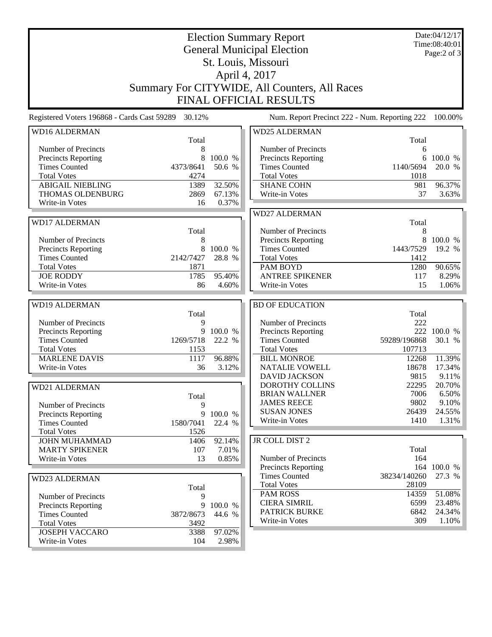| <b>Election Summary Report</b><br><b>General Municipal Election</b> |                   |                   |                                               |                     | Date:04/12/17<br>Time:08:40:01<br>Page: $2$ of $3$ |  |  |  |  |
|---------------------------------------------------------------------|-------------------|-------------------|-----------------------------------------------|---------------------|----------------------------------------------------|--|--|--|--|
| St. Louis, Missouri                                                 |                   |                   |                                               |                     |                                                    |  |  |  |  |
| April 4, 2017                                                       |                   |                   |                                               |                     |                                                    |  |  |  |  |
| Summary For CITYWIDE, All Counters, All Races                       |                   |                   |                                               |                     |                                                    |  |  |  |  |
| <b>FINAL OFFICIAL RESULTS</b>                                       |                   |                   |                                               |                     |                                                    |  |  |  |  |
| Registered Voters 196868 - Cards Cast 59289                         | 30.12%            |                   | Num. Report Precinct 222 - Num. Reporting 222 |                     | 100.00%                                            |  |  |  |  |
| <b>WD16 ALDERMAN</b>                                                |                   |                   | <b>WD25 ALDERMAN</b>                          |                     |                                                    |  |  |  |  |
| Number of Precincts                                                 | Total<br>8        |                   | Number of Precincts                           | Total<br>6          |                                                    |  |  |  |  |
| <b>Precincts Reporting</b>                                          | 8                 | 100.0 %           | <b>Precincts Reporting</b>                    | 6                   | 100.0 %                                            |  |  |  |  |
| <b>Times Counted</b>                                                | 4373/8641         | 50.6 %            | <b>Times Counted</b>                          | 1140/5694           | 20.0 %                                             |  |  |  |  |
| <b>Total Votes</b>                                                  | 4274              |                   | <b>Total Votes</b>                            | 1018                |                                                    |  |  |  |  |
| <b>ABIGAIL NIEBLING</b>                                             | 1389              | 32.50%            | <b>SHANE COHN</b>                             | 981                 | 96.37%                                             |  |  |  |  |
| THOMAS OLDENBURG                                                    | 2869              | 67.13%            | Write-in Votes                                | 37                  | 3.63%                                              |  |  |  |  |
| Write-in Votes                                                      | 16                | 0.37%             |                                               |                     |                                                    |  |  |  |  |
|                                                                     |                   |                   | <b>WD27 ALDERMAN</b>                          |                     |                                                    |  |  |  |  |
| <b>WD17 ALDERMAN</b>                                                |                   |                   |                                               | Total               |                                                    |  |  |  |  |
|                                                                     | Total             |                   | Number of Precincts                           | 8                   |                                                    |  |  |  |  |
| Number of Precincts                                                 | 8                 |                   | Precincts Reporting                           | 8                   | 100.0 %                                            |  |  |  |  |
| Precincts Reporting                                                 | 8                 | 100.0 %           | <b>Times Counted</b>                          | 1443/7529           | 19.2 %                                             |  |  |  |  |
| <b>Times Counted</b><br><b>Total Votes</b>                          | 2142/7427<br>1871 | 28.8 %            | <b>Total Votes</b><br>PAM BOYD                | 1412<br>1280        | 90.65%                                             |  |  |  |  |
| <b>JOE RODDY</b>                                                    | 1785              | 95.40%            | <b>ANTREE SPIKENER</b>                        | 117                 | 8.29%                                              |  |  |  |  |
| Write-in Votes                                                      | 86                | 4.60%             | Write-in Votes                                | 15                  | 1.06%                                              |  |  |  |  |
|                                                                     |                   |                   |                                               |                     |                                                    |  |  |  |  |
| <b>WD19 ALDERMAN</b>                                                |                   |                   | <b>BD OF EDUCATION</b>                        |                     |                                                    |  |  |  |  |
|                                                                     | Total             |                   |                                               | Total               |                                                    |  |  |  |  |
| Number of Precincts                                                 | 9                 |                   | Number of Precincts                           | 222                 |                                                    |  |  |  |  |
| Precincts Reporting<br><b>Times Counted</b>                         | 9<br>1269/5718    | 100.0 %<br>22.2 % | Precincts Reporting<br><b>Times Counted</b>   | 222<br>59289/196868 | 100.0 %<br>30.1 %                                  |  |  |  |  |
| <b>Total Votes</b>                                                  | 1153              |                   | <b>Total Votes</b>                            | 107713              |                                                    |  |  |  |  |
| <b>MARLENE DAVIS</b>                                                | 1117              | 96.88%            | <b>BILL MONROE</b>                            | 12268               | 11.39%                                             |  |  |  |  |
| Write-in Votes                                                      | 36                | 3.12%             | <b>NATALIE VOWELL</b>                         | 18678               | 17.34%                                             |  |  |  |  |
|                                                                     |                   |                   | <b>DAVID JACKSON</b>                          | 9815                | 9.11%                                              |  |  |  |  |
| WD21 ALDERMAN                                                       |                   |                   | DOROTHY COLLINS                               | 22295               | 20.70%                                             |  |  |  |  |
|                                                                     | Total             |                   | <b>BRIAN WALLNER</b>                          | 7006                | 6.50%                                              |  |  |  |  |
| Number of Precincts                                                 | 9                 |                   | <b>JAMES REECE</b>                            | 9802                | 9.10%                                              |  |  |  |  |
| <b>Precincts Reporting</b>                                          | 9                 | 100.0 %           | <b>SUSAN JONES</b>                            | 26439               | 24.55%                                             |  |  |  |  |
| <b>Times Counted</b>                                                | 1580/7041         | 22.4 %            | Write-in Votes                                | 1410                | 1.31%                                              |  |  |  |  |
| <b>Total Votes</b>                                                  | 1526              |                   |                                               |                     |                                                    |  |  |  |  |
| <b>JOHN MUHAMMAD</b><br><b>MARTY SPIKENER</b>                       | 1406              | 92.14%            | JR COLL DIST 2                                | Total               |                                                    |  |  |  |  |
| Write-in Votes                                                      | 107<br>13         | 7.01%<br>0.85%    | Number of Precincts                           | 164                 |                                                    |  |  |  |  |
|                                                                     |                   |                   | <b>Precincts Reporting</b>                    |                     | 164 100.0 %                                        |  |  |  |  |
| <b>WD23 ALDERMAN</b>                                                |                   |                   | <b>Times Counted</b>                          | 38234/140260        | 27.3 %                                             |  |  |  |  |
|                                                                     | Total             |                   | <b>Total Votes</b>                            | 28109               |                                                    |  |  |  |  |
| Number of Precincts                                                 | 9                 |                   | <b>PAM ROSS</b>                               | 14359               | 51.08%                                             |  |  |  |  |
| <b>Precincts Reporting</b>                                          |                   | 9 100.0 %         | <b>CIERA SIMRIL</b>                           | 6599                | 23.48%                                             |  |  |  |  |
| <b>Times Counted</b>                                                | 3872/8673         | 44.6 %            | <b>PATRICK BURKE</b>                          | 6842                | 24.34%                                             |  |  |  |  |
| <b>Total Votes</b>                                                  | 3492              |                   | Write-in Votes                                | 309                 | $1.10\%$                                           |  |  |  |  |
| <b>JOSEPH VACCARO</b>                                               | 3388              | 97.02%            |                                               |                     |                                                    |  |  |  |  |
| Write-in Votes                                                      | 104               | 2.98%             |                                               |                     |                                                    |  |  |  |  |